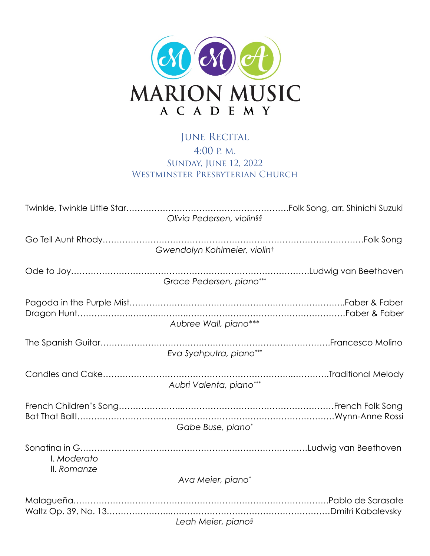

## JUNE RECITAL 4:00 P. M. Sunday, June 12, 2022 WESTMINSTER PRESBYTERIAN CHURCH

| Olivia Pedersen, violin§§    |  |
|------------------------------|--|
| Gwendolyn Kohlmeier, violint |  |
| Grace Pedersen, piano***     |  |
| Aubree Wall, piano***        |  |
| Eva Syahputra, piano***      |  |
| Aubri Valenta, piano***      |  |
| Gabe Buse, piano*            |  |
| I. Moderato<br>II. Romanze   |  |
| Ava Meier, piano*            |  |
| Leah Meier, pianos           |  |